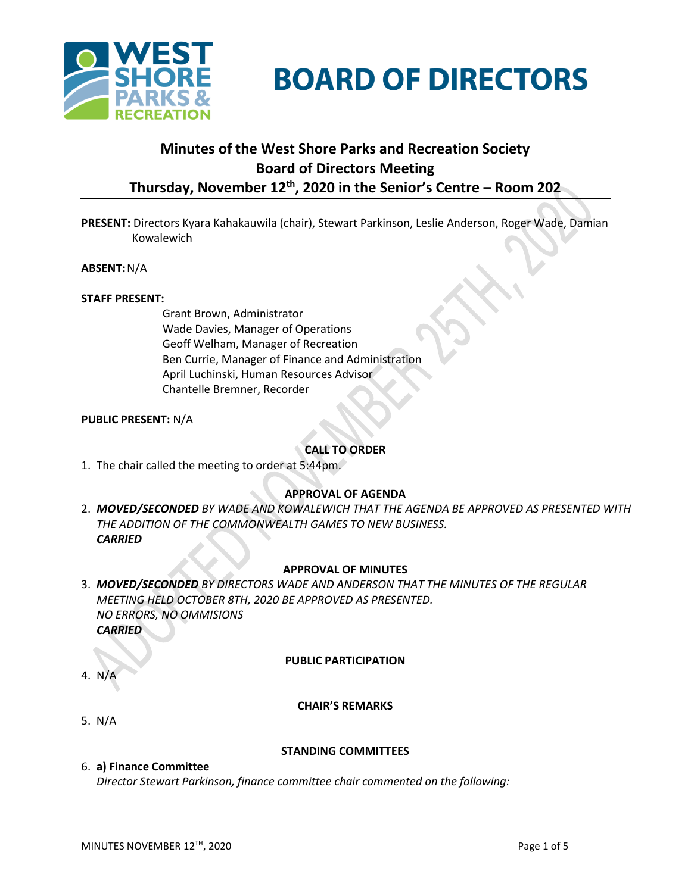



# **Minutes of the West Shore Parks and Recreation Society Board of Directors Meeting Thursday, November 12th , 2020 in the Senior's Centre – Room 202**

**PRESENT:** Directors Kyara Kahakauwila (chair), Stewart Parkinson, Leslie Anderson, Roger Wade, Damian Kowalewich

**ABSENT:**N/A

#### **STAFF PRESENT:**

Grant Brown, Administrator Wade Davies, Manager of Operations Geoff Welham, Manager of Recreation Ben Currie, Manager of Finance and Administration April Luchinski, Human Resources Advisor Chantelle Bremner, Recorder

## **PUBLIC PRESENT:** N/A

## **CALL TO ORDER**

1. The chair called the meeting to order at 5:44pm.

## **APPROVAL OF AGENDA**

2. *MOVED/SECONDED BY WADE AND KOWALEWICH THAT THE AGENDA BE APPROVED AS PRESENTED WITH THE ADDITION OF THE COMMONWEALTH GAMES TO NEW BUSINESS. CARRIED*

#### **APPROVAL OF MINUTES**

3. *MOVED/SECONDED BY DIRECTORS WADE AND ANDERSON THAT THE MINUTES OF THE REGULAR MEETING HELD OCTOBER 8TH, 2020 BE APPROVED AS PRESENTED. NO ERRORS, NO OMMISIONS CARRIED*

#### **PUBLIC PARTICIPATION**

4.  $N/l$ 

## **CHAIR'S REMARKS**

5. N/A

#### **STANDING COMMITTEES**

6. **a) Finance Committee**

*Director Stewart Parkinson, finance committee chair commented on the following:*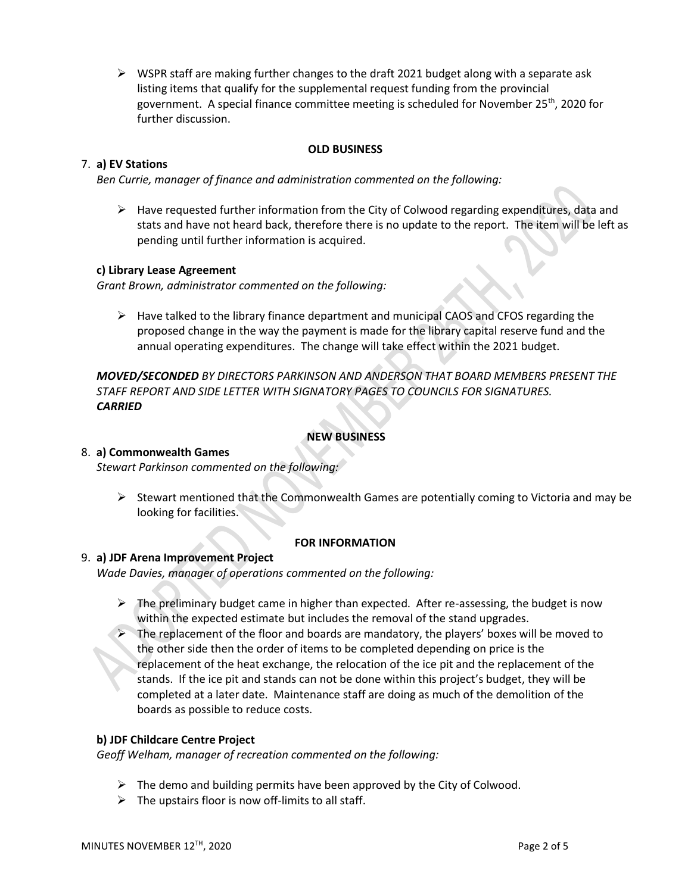$\triangleright$  WSPR staff are making further changes to the draft 2021 budget along with a separate ask listing items that qualify for the supplemental request funding from the provincial government. A special finance committee meeting is scheduled for November 25<sup>th</sup>, 2020 for further discussion.

## **OLD BUSINESS**

## 7. **a) EV Stations**

*Ben Currie, manager of finance and administration commented on the following:*

 $\triangleright$  Have requested further information from the City of Colwood regarding expenditures, data and stats and have not heard back, therefore there is no update to the report. The item will be left as pending until further information is acquired.

## **c) Library Lease Agreement**

*Grant Brown, administrator commented on the following:*

 $\triangleright$  Have talked to the library finance department and municipal CAOS and CFOS regarding the proposed change in the way the payment is made for the library capital reserve fund and the annual operating expenditures. The change will take effect within the 2021 budget.

*MOVED/SECONDED BY DIRECTORS PARKINSON AND ANDERSON THAT BOARD MEMBERS PRESENT THE STAFF REPORT AND SIDE LETTER WITH SIGNATORY PAGES TO COUNCILS FOR SIGNATURES. CARRIED*

# **NEW BUSINESS**

## 8. **a) Commonwealth Games**

*Stewart Parkinson commented on the following:*

 $\triangleright$  Stewart mentioned that the Commonwealth Games are potentially coming to Victoria and may be looking for facilities.

## **FOR INFORMATION**

## 9. **a) JDF Arena Improvement Project**

*Wade Davies, manager of operations commented on the following:*

 $\triangleright$  The preliminary budget came in higher than expected. After re-assessing, the budget is now within the expected estimate but includes the removal of the stand upgrades.

➢ The replacement of the floor and boards are mandatory, the players' boxes will be moved to the other side then the order of items to be completed depending on price is the replacement of the heat exchange, the relocation of the ice pit and the replacement of the stands. If the ice pit and stands can not be done within this project's budget, they will be completed at a later date. Maintenance staff are doing as much of the demolition of the boards as possible to reduce costs.

## **b) JDF Childcare Centre Project**

*Geoff Welham, manager of recreation commented on the following:*

- $\triangleright$  The demo and building permits have been approved by the City of Colwood.
- $\triangleright$  The upstairs floor is now off-limits to all staff.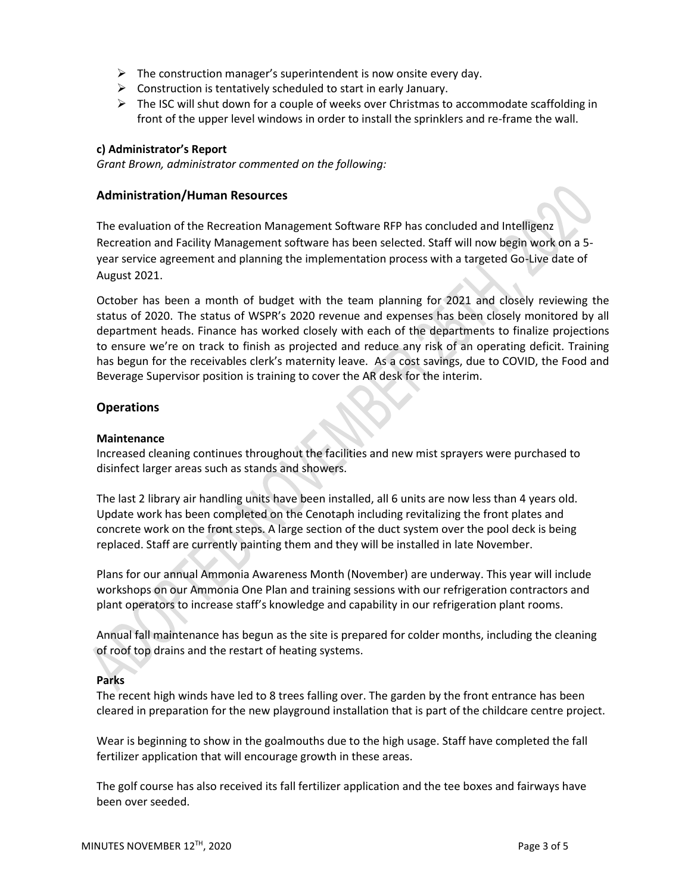- $\triangleright$  The construction manager's superintendent is now onsite every day.
- $\triangleright$  Construction is tentatively scheduled to start in early January.
- $\triangleright$  The ISC will shut down for a couple of weeks over Christmas to accommodate scaffolding in front of the upper level windows in order to install the sprinklers and re-frame the wall.

#### **c) Administrator's Report**

*Grant Brown, administrator commented on the following:*

## **Administration/Human Resources**

The evaluation of the Recreation Management Software RFP has concluded and Intelligenz Recreation and Facility Management software has been selected. Staff will now begin work on a 5 year service agreement and planning the implementation process with a targeted Go-Live date of August 2021.

October has been a month of budget with the team planning for 2021 and closely reviewing the status of 2020. The status of WSPR's 2020 revenue and expenses has been closely monitored by all department heads. Finance has worked closely with each of the departments to finalize projections to ensure we're on track to finish as projected and reduce any risk of an operating deficit. Training has begun for the receivables clerk's maternity leave. As a cost savings, due to COVID, the Food and Beverage Supervisor position is training to cover the AR desk for the interim.

## **Operations**

#### **Maintenance**

Increased cleaning continues throughout the facilities and new mist sprayers were purchased to disinfect larger areas such as stands and showers.

The last 2 library air handling units have been installed, all 6 units are now less than 4 years old. Update work has been completed on the Cenotaph including revitalizing the front plates and concrete work on the front steps. A large section of the duct system over the pool deck is being replaced. Staff are currently painting them and they will be installed in late November.

Plans for our annual Ammonia Awareness Month (November) are underway. This year will include workshops on our Ammonia One Plan and training sessions with our refrigeration contractors and plant operators to increase staff's knowledge and capability in our refrigeration plant rooms.

Annual fall maintenance has begun as the site is prepared for colder months, including the cleaning of roof top drains and the restart of heating systems.

## **Parks**

The recent high winds have led to 8 trees falling over. The garden by the front entrance has been cleared in preparation for the new playground installation that is part of the childcare centre project.

Wear is beginning to show in the goalmouths due to the high usage. Staff have completed the fall fertilizer application that will encourage growth in these areas.

The golf course has also received its fall fertilizer application and the tee boxes and fairways have been over seeded.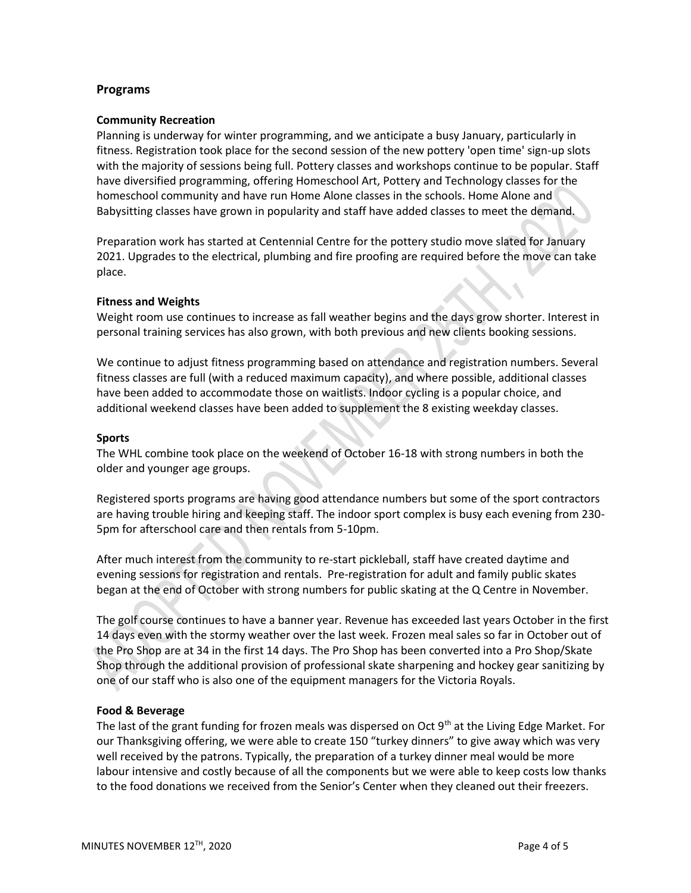#### **Programs**

#### **Community Recreation**

Planning is underway for winter programming, and we anticipate a busy January, particularly in fitness. Registration took place for the second session of the new pottery 'open time' sign-up slots with the majority of sessions being full. Pottery classes and workshops continue to be popular. Staff have diversified programming, offering Homeschool Art, Pottery and Technology classes for the homeschool community and have run Home Alone classes in the schools. Home Alone and Babysitting classes have grown in popularity and staff have added classes to meet the demand.

Preparation work has started at Centennial Centre for the pottery studio move slated for January 2021. Upgrades to the electrical, plumbing and fire proofing are required before the move can take place.

#### **Fitness and Weights**

Weight room use continues to increase as fall weather begins and the days grow shorter. Interest in personal training services has also grown, with both previous and new clients booking sessions.

We continue to adjust fitness programming based on attendance and registration numbers. Several fitness classes are full (with a reduced maximum capacity), and where possible, additional classes have been added to accommodate those on waitlists. Indoor cycling is a popular choice, and additional weekend classes have been added to supplement the 8 existing weekday classes.

#### **Sports**

The WHL combine took place on the weekend of October 16-18 with strong numbers in both the older and younger age groups.

Registered sports programs are having good attendance numbers but some of the sport contractors are having trouble hiring and keeping staff. The indoor sport complex is busy each evening from 230- 5pm for afterschool care and then rentals from 5-10pm.

After much interest from the community to re-start pickleball, staff have created daytime and evening sessions for registration and rentals. Pre-registration for adult and family public skates began at the end of October with strong numbers for public skating at the Q Centre in November.

The golf course continues to have a banner year. Revenue has exceeded last years October in the first 14 days even with the stormy weather over the last week. Frozen meal sales so far in October out of the Pro Shop are at 34 in the first 14 days. The Pro Shop has been converted into a Pro Shop/Skate Shop through the additional provision of professional skate sharpening and hockey gear sanitizing by one of our staff who is also one of the equipment managers for the Victoria Royals.

#### **Food & Beverage**

The last of the grant funding for frozen meals was dispersed on Oct 9<sup>th</sup> at the Living Edge Market. For our Thanksgiving offering, we were able to create 150 "turkey dinners" to give away which was very well received by the patrons. Typically, the preparation of a turkey dinner meal would be more labour intensive and costly because of all the components but we were able to keep costs low thanks to the food donations we received from the Senior's Center when they cleaned out their freezers.